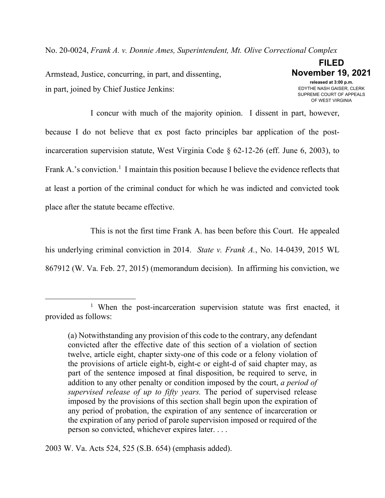No. 20-0024, *Frank A. v. Donnie Ames, Superintendent, Mt. Olive Correctional Complex*

Armstead, Justice, concurring, in part, and dissenting, in part, joined by Chief Justice Jenkins:

**FILED November 19, 2021 released at 3:00 p.m.** EDYTHE NASH GAISER, CLERK SUPREME COURT OF APPEALS OF WEST VIRGINIA

I concur with much of the majority opinion. I dissent in part, however, because I do not believe that ex post facto principles bar application of the postincarceration supervision statute, West Virginia Code § 62-12-26 (eff. June 6, 2003), to Frank A.'s conviction.<sup>[1](#page-0-0)</sup> I maintain this position because I believe the evidence reflects that at least a portion of the criminal conduct for which he was indicted and convicted took place after the statute became effective.

This is not the first time Frank A. has been before this Court. He appealed his underlying criminal conviction in 2014. *State v. Frank A.*, No. 14-0439, 2015 WL 867912 (W. Va. Feb. 27, 2015) (memorandum decision). In affirming his conviction, we

2003 W. Va. Acts 524, 525 (S.B. 654) (emphasis added).

<span id="page-0-0"></span><sup>&</sup>lt;sup>1</sup> When the post-incarceration supervision statute was first enacted, it provided as follows:

<sup>(</sup>a) Notwithstanding any provision of this code to the contrary, any defendant convicted after the effective date of this section of a violation of section twelve, article eight, chapter sixty-one of this code or a felony violation of the provisions of article eight-b, eight-c or eight-d of said chapter may, as part of the sentence imposed at final disposition, be required to serve, in addition to any other penalty or condition imposed by the court, *a period of supervised release of up to fifty years.* The period of supervised release imposed by the provisions of this section shall begin upon the expiration of any period of probation, the expiration of any sentence of incarceration or the expiration of any period of parole supervision imposed or required of the person so convicted, whichever expires later. . . .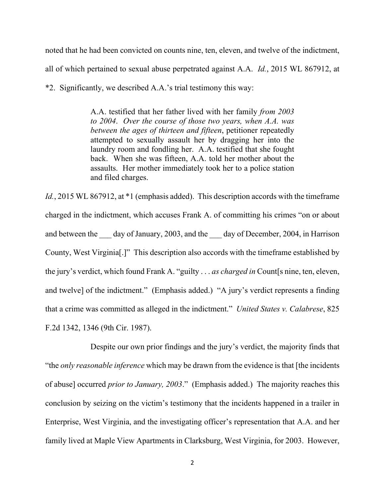noted that he had been convicted on counts nine, ten, eleven, and twelve of the indictment, all of which pertained to sexual abuse perpetrated against A.A. *Id.*, 2015 WL 867912, at \*2. Significantly, we described A.A.'s trial testimony this way:

> A.A. testified that her father lived with her family *from 2003 to 2004*. *Over the course of those two years, when A.A. was between the ages of thirteen and fifteen*, petitioner repeatedly attempted to sexually assault her by dragging her into the laundry room and fondling her. A.A. testified that she fought back. When she was fifteen, A.A. told her mother about the assaults. Her mother immediately took her to a police station and filed charges.

*Id.*, 2015 WL 867912, at \*1 (emphasis added). This description accords with the timeframe charged in the indictment, which accuses Frank A. of committing his crimes "on or about and between the day of January, 2003, and the day of December, 2004, in Harrison County, West Virginia[.]" This description also accords with the timeframe established by the jury's verdict, which found Frank A. "guilty . . . *as charged in* Count[s nine, ten, eleven, and twelve] of the indictment." (Emphasis added.) "A jury's verdict represents a finding that a crime was committed as alleged in the indictment." *United States v. Calabrese*, 825 F.2d 1342, 1346 (9th Cir. 1987).

Despite our own prior findings and the jury's verdict, the majority finds that "the *only reasonable inference* which may be drawn from the evidence is that [the incidents of abuse] occurred *prior to January, 2003*." (Emphasis added.) The majority reaches this conclusion by seizing on the victim's testimony that the incidents happened in a trailer in Enterprise, West Virginia, and the investigating officer's representation that A.A. and her family lived at Maple View Apartments in Clarksburg, West Virginia, for 2003. However,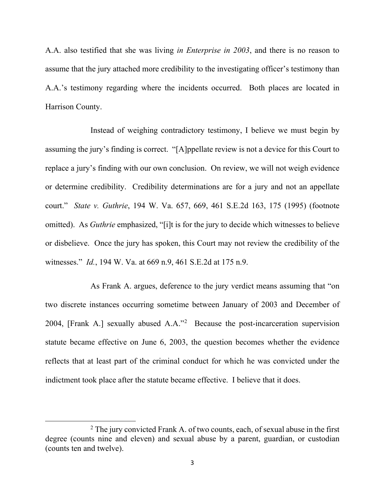A.A. also testified that she was living *in Enterprise in 2003*, and there is no reason to assume that the jury attached more credibility to the investigating officer's testimony than A.A.'s testimony regarding where the incidents occurred. Both places are located in Harrison County.

Instead of weighing contradictory testimony, I believe we must begin by assuming the jury's finding is correct. "[A]ppellate review is not a device for this Court to replace a jury's finding with our own conclusion. On review, we will not weigh evidence or determine credibility. Credibility determinations are for a jury and not an appellate court." *State v. Guthrie*, 194 W. Va. 657, 669, 461 S.E.2d 163, 175 (1995) (footnote omitted). As *Guthrie* emphasized, "[i]t is for the jury to decide which witnesses to believe or disbelieve. Once the jury has spoken, this Court may not review the credibility of the witnesses." *Id.*, 194 W. Va. at 669 n.9, 461 S.E.2d at 175 n.9.

As Frank A. argues, deference to the jury verdict means assuming that "on two discrete instances occurring sometime between January of 2003 and December of 2004, [Frank A.] sexually abused A.A."[2](#page-2-0) Because the post-incarceration supervision statute became effective on June 6, 2003, the question becomes whether the evidence reflects that at least part of the criminal conduct for which he was convicted under the indictment took place after the statute became effective. I believe that it does.

<span id="page-2-0"></span> $2$  The jury convicted Frank A. of two counts, each, of sexual abuse in the first degree (counts nine and eleven) and sexual abuse by a parent, guardian, or custodian (counts ten and twelve).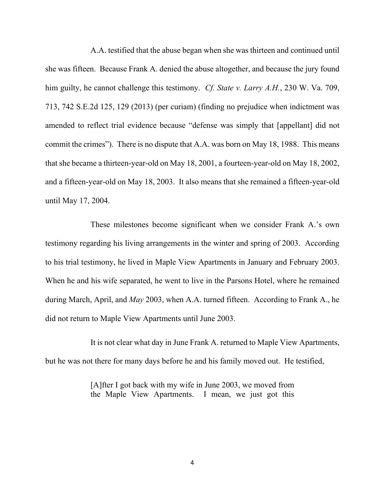A.A. testified that the abuse began when she was thirteen and continued until she was fifteen. Because Frank A. denied the abuse altogether, and because the jury found him guilty, he cannot challenge this testimony. *Cf. State v. Larry A.H.*, 230 W. Va. 709, 713, 742 S.E.2d 125, 129 (2013) (per curiam) (finding no prejudice when indictment was amended to reflect trial evidence because "defense was simply that [appellant] did not commit the crimes"). There is no dispute that A.A. was born on May 18, 1988. This means that she became a thirteen-year-old on May 18, 2001, a fourteen-year-old on May 18, 2002, and a fifteen-year-old on May 18, 2003. It also means that she remained a fifteen-year-old until May 17, 2004.

These milestones become significant when we consider Frank A.'s own testimony regarding his living arrangements in the winter and spring of 2003. According to his trial testimony, he lived in Maple View Apartments in January and February 2003. When he and his wife separated, he went to live in the Parsons Hotel, where he remained during March, April, and *May* 2003, when A.A. turned fifteen. According to Frank A., he did not return to Maple View Apartments until June 2003.

It is not clear what day in June Frank A. returned to Maple View Apartments, but he was not there for many days before he and his family moved out. He testified,

> [A]fter I got back with my wife in June 2003, we moved from the Maple View Apartments. I mean, we just got this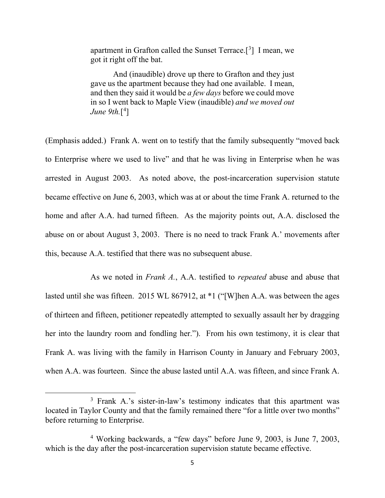apartment in Grafton called the Sunset Terrace.<sup>[[3](#page-4-0)]</sup> I mean, we got it right off the bat.

And (inaudible) drove up there to Grafton and they just gave us the apartment because they had one available. I mean, and then they said it would be *a few days* before we could move in so I went back to Maple View (inaudible) *and we moved out June 9th.*[\[4](#page-4-1) ]

(Emphasis added.) Frank A. went on to testify that the family subsequently "moved back to Enterprise where we used to live" and that he was living in Enterprise when he was arrested in August 2003. As noted above, the post-incarceration supervision statute became effective on June 6, 2003, which was at or about the time Frank A. returned to the home and after A.A. had turned fifteen. As the majority points out, A.A. disclosed the abuse on or about August 3, 2003. There is no need to track Frank A.' movements after this, because A.A. testified that there was no subsequent abuse.

As we noted in *Frank A.*, A.A. testified to *repeated* abuse and abuse that lasted until she was fifteen. 2015 WL 867912, at \*1 ("[W]hen A.A. was between the ages of thirteen and fifteen, petitioner repeatedly attempted to sexually assault her by dragging her into the laundry room and fondling her."). From his own testimony, it is clear that Frank A. was living with the family in Harrison County in January and February 2003, when A.A. was fourteen. Since the abuse lasted until A.A. was fifteen, and since Frank A.

<span id="page-4-0"></span><sup>3</sup> Frank A.'s sister-in-law's testimony indicates that this apartment was located in Taylor County and that the family remained there "for a little over two months" before returning to Enterprise.

<span id="page-4-1"></span><sup>4</sup> Working backwards, a "few days" before June 9, 2003, is June 7, 2003, which is the day after the post-incarceration supervision statute became effective.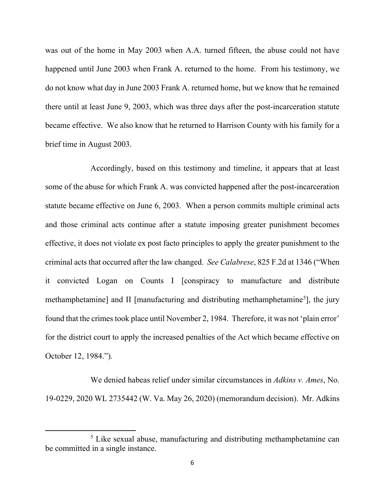was out of the home in May 2003 when A.A. turned fifteen, the abuse could not have happened until June 2003 when Frank A. returned to the home. From his testimony, we do not know what day in June 2003 Frank A. returned home, but we know that he remained there until at least June 9, 2003, which was three days after the post-incarceration statute became effective. We also know that he returned to Harrison County with his family for a brief time in August 2003.

Accordingly, based on this testimony and timeline, it appears that at least some of the abuse for which Frank A. was convicted happened after the post-incarceration statute became effective on June 6, 2003. When a person commits multiple criminal acts and those criminal acts continue after a statute imposing greater punishment becomes effective, it does not violate ex post facto principles to apply the greater punishment to the criminal acts that occurred after the law changed. *See Calabrese*, 825 F.2d at 1346 ("When it convicted Logan on Counts I [conspiracy to manufacture and distribute methamphetamine] and II [manufacturing and distributing methamphetamine<sup>[5](#page-5-0)</sup>], the jury found that the crimes took place until November 2, 1984. Therefore, it was not 'plain error' for the district court to apply the increased penalties of the Act which became effective on October 12, 1984.")*.*

We denied habeas relief under similar circumstances in *Adkins v. Ames*, No. 19-0229, 2020 WL 2735442 (W. Va. May 26, 2020) (memorandum decision). Mr. Adkins

<span id="page-5-0"></span><sup>5</sup> Like sexual abuse, manufacturing and distributing methamphetamine can be committed in a single instance.